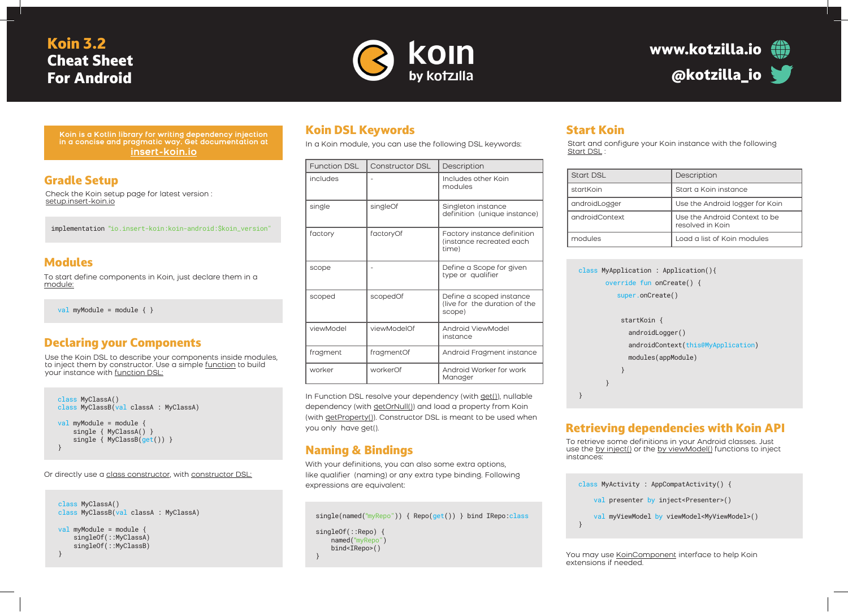# Koin 3.2 Cheat Sheet For Android





**Koin is a Kotlin library for writing dependency injection in a concise and pragmatic way. Get documentation at insert-koin.io**

# Gradle Setup

Check the Koin setup page for latest version : setup.insert-koin.io

implementation "io.insert-koin:koin-android:\$koin\_version"

#### Modules

To start define components in Koin, just declare them in a module:

val myModule = module  $\{ \}$ 

# Declaring your Components

Use the Koin DSL to describe your components inside modules, to inject them by constructor. Use a simple function to build your instance with function DSL:

```
class MyClassA()
class MyClassB(val classA : MyClassA)
val myModule = module {
     single { MyClassA() }
    single { MyClassB(get()) }
}
```
Or directly use a class constructor, with constructor DSL:

class MyClassA() class MyClassB(val classA : MyClassA) val myModule = module {

singleOf(::MyClassA) singleOf(::MyClassB) }

# Koin DSL Keywords

In a Koin module, you can use the following DSL keywords:

|  | Function DSL | Constructor DSL | Description                                                         |
|--|--------------|-----------------|---------------------------------------------------------------------|
|  | includes     |                 | Includes other Koin<br>modules                                      |
|  | single       | singleOf        | Singleton instance<br>definition (unique instance)                  |
|  | factory      | factoryOf       | Factory instance definition<br>(instance recreated each<br>time)    |
|  | scope        |                 | Define a Scope for given<br>type or qualifier                       |
|  | scoped       | scopedOf        | Define a scoped instance<br>(live for the duration of the<br>scope) |
|  | viewModel    | viewModelOf     | Android ViewModel<br>instance                                       |
|  | fragment     | fragmentOf      | Android Fragment instance                                           |
|  | worker       | workerOf        | Android Worker for work<br>Manager                                  |

In Function DSL resolve your dependency (with get()), nullable dependency (with getOrNull()) and load a property from Koin (with getProperty()). Constructor DSL is meant to be used when you only have get().

# Naming & Bindings

With your definitions, you can also some extra options, like qualifier (naming) or any extra type binding. Following expressions are equivalent:

single(named("myRepo")) { Repo(get()) } bind IRepo:class singleOf(::Repo) { named("myRepo") bind<IRepo>() }

### Start Koin

Start and configure your Koin instance with the following Start DSL :

| Start DSL      | Description                                       |
|----------------|---------------------------------------------------|
| startKoin      | Start a Koin instance                             |
| androidLogger  | Use the Android logger for Koin                   |
| androidContext | Use the Android Context to be<br>resolved in Koin |
| modules        | Load a list of Koin modules                       |

| class MyApplication : Application(){<br>override fun on $Create() \{$ |  |  |
|-----------------------------------------------------------------------|--|--|
| super.onCreate()                                                      |  |  |
|                                                                       |  |  |
| startKoin {                                                           |  |  |
| androidLogger()                                                       |  |  |
| androidContext(this@MyApplication)                                    |  |  |
| modules(appModule)                                                    |  |  |
| ł                                                                     |  |  |
|                                                                       |  |  |
|                                                                       |  |  |

### Retrieving dependencies with Koin API

To retrieve some definitions in your Android classes. Just use the by inject() or the by viewModel() functions to inject instances:

class MyActivity : AppCompatActivity() { val presenter by inject<Presenter>() val myViewModel by viewModel<MyViewModel>() }

You may use KoinComponent interface to help Koin extensions if needed.